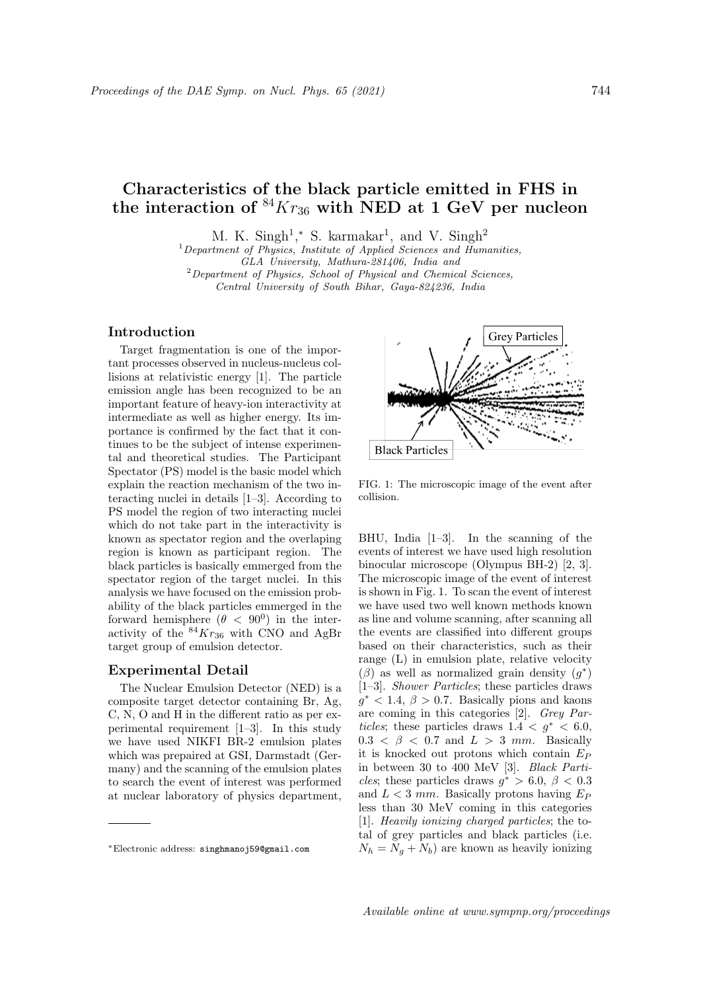# Characteristics of the black particle emitted in FHS in the interaction of  ${}^{84}Kr_{36}$  with NED at 1 GeV per nucleon

M. K. Singh<sup>1</sup>,\* S. karmakar<sup>1</sup>, and V. Singh<sup>2</sup>

 $1$ Department of Physics, Institute of Applied Sciences and Humanities, GLA University, Mathura-281406, India and  $2$ Department of Physics, School of Physical and Chemical Sciences, Central University of South Bihar, Gaya-824236, India

### Introduction

Target fragmentation is one of the important processes observed in nucleus-nucleus collisions at relativistic energy [1]. The particle emission angle has been recognized to be an important feature of heavy-ion interactivity at intermediate as well as higher energy. Its importance is confirmed by the fact that it continues to be the subject of intense experimental and theoretical studies. The Participant Spectator (PS) model is the basic model which explain the reaction mechanism of the two interacting nuclei in details [1–3]. According to PS model the region of two interacting nuclei which do not take part in the interactivity is known as spectator region and the overlaping region is known as participant region. The black particles is basically emmerged from the spectator region of the target nuclei. In this analysis we have focused on the emission probability of the black particles emmerged in the forward hemisphere  $(\theta < 90^{\circ})$  in the interactivity of the  $84Kr_{36}$  with CNO and AgBr target group of emulsion detector.

## Experimental Detail

The Nuclear Emulsion Detector (NED) is a composite target detector containing Br, Ag, C, N, O and H in the different ratio as per experimental requirement [1–3]. In this study we have used NIKFI BR-2 emulsion plates which was prepaired at GSI, Darmstadt (Germany) and the scanning of the emulsion plates to search the event of interest was performed at nuclear laboratory of physics department,



FIG. 1: The microscopic image of the event after collision.

BHU, India [1–3]. In the scanning of the events of interest we have used high resolution binocular microscope (Olympus BH-2) [2, 3]. The microscopic image of the event of interest is shown in Fig. 1. To scan the event of interest we have used two well known methods known as line and volume scanning, after scanning all the events are classified into different groups based on their characteristics, such as their range (L) in emulsion plate, relative velocity  $(\beta)$  as well as normalized grain density  $(g^*)$ [1–3]. Shower Particles; these particles draws  $g^*$  < 1.4,  $\beta$  > 0.7. Basically pions and kaons are coming in this categories [2]. Grey Particles; these particles draws  $1.4 < g^* < 6.0$ ,  $0.3 < \beta < 0.7$  and  $L > 3$  mm. Basically it is knocked out protons which contain  $E_P$ in between 30 to 400 MeV [3]. Black Particles; these particles draws  $g^* > 6.0, \beta < 0.3$ and  $L < 3$  mm. Basically protons having  $E_P$ less than 30 MeV coming in this categories [1]. Heavily ionizing charged particles; the total of grey particles and black particles (i.e.  $N_h = N_a + N_b$ ) are known as heavily ionizing

<sup>∗</sup>Electronic address: singhmanoj59@gmail.com